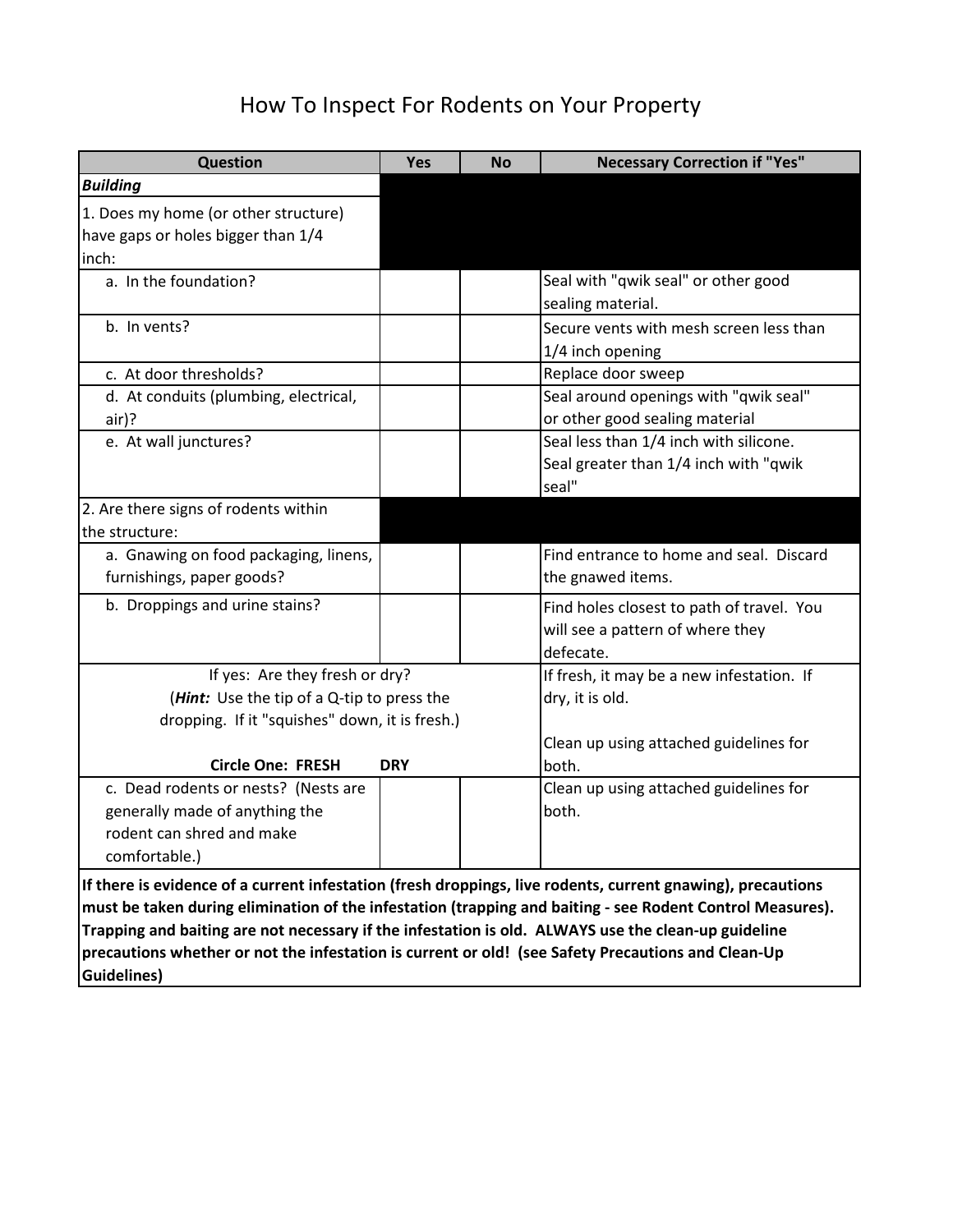# How To Inspect For Rodents on Your Property

| <b>Question</b>                                                                                             | <b>Yes</b> | <b>No</b> | <b>Necessary Correction if "Yes"</b>      |  |  |
|-------------------------------------------------------------------------------------------------------------|------------|-----------|-------------------------------------------|--|--|
| <b>Building</b>                                                                                             |            |           |                                           |  |  |
| 1. Does my home (or other structure)                                                                        |            |           |                                           |  |  |
| have gaps or holes bigger than 1/4                                                                          |            |           |                                           |  |  |
| inch:                                                                                                       |            |           |                                           |  |  |
| a. In the foundation?                                                                                       |            |           | Seal with "qwik seal" or other good       |  |  |
|                                                                                                             |            |           | sealing material.                         |  |  |
| b. In vents?                                                                                                |            |           | Secure vents with mesh screen less than   |  |  |
|                                                                                                             |            |           | 1/4 inch opening                          |  |  |
| c. At door thresholds?                                                                                      |            |           | Replace door sweep                        |  |  |
| d. At conduits (plumbing, electrical,                                                                       |            |           | Seal around openings with "qwik seal"     |  |  |
| air)?                                                                                                       |            |           | or other good sealing material            |  |  |
| e. At wall junctures?                                                                                       |            |           | Seal less than 1/4 inch with silicone.    |  |  |
|                                                                                                             |            |           | Seal greater than 1/4 inch with "qwik     |  |  |
|                                                                                                             |            |           | seal"                                     |  |  |
| 2. Are there signs of rodents within                                                                        |            |           |                                           |  |  |
| the structure:                                                                                              |            |           |                                           |  |  |
| a. Gnawing on food packaging, linens,                                                                       |            |           | Find entrance to home and seal. Discard   |  |  |
| furnishings, paper goods?                                                                                   |            |           | the gnawed items.                         |  |  |
| b. Droppings and urine stains?                                                                              |            |           | Find holes closest to path of travel. You |  |  |
|                                                                                                             |            |           | will see a pattern of where they          |  |  |
|                                                                                                             |            |           | defecate.                                 |  |  |
| If yes: Are they fresh or dry?                                                                              |            |           | If fresh, it may be a new infestation. If |  |  |
| ( <i>Hint:</i> Use the tip of a Q-tip to press the                                                          |            |           | dry, it is old.                           |  |  |
| dropping. If it "squishes" down, it is fresh.)                                                              |            |           |                                           |  |  |
|                                                                                                             |            |           | Clean up using attached guidelines for    |  |  |
| <b>Circle One: FRESH</b>                                                                                    | <b>DRY</b> |           | both.                                     |  |  |
| c. Dead rodents or nests? (Nests are                                                                        |            |           | Clean up using attached guidelines for    |  |  |
| generally made of anything the                                                                              |            |           | both.                                     |  |  |
| rodent can shred and make                                                                                   |            |           |                                           |  |  |
| comfortable.)                                                                                               |            |           |                                           |  |  |
| If there is evidence of a current infestation (fresh droppings, live rodents, current gnawing), precautions |            |           |                                           |  |  |
| must be taken during elimination of the infestation (trapping and baiting - see Rodent Control Measures).   |            |           |                                           |  |  |
| Trapping and baiting are not necessary if the infestation is old. ALWAYS use the clean-up guideline         |            |           |                                           |  |  |
| precautions whether or not the infestation is current or old! (see Safety Precautions and Clean-Up          |            |           |                                           |  |  |

**Guidelines)**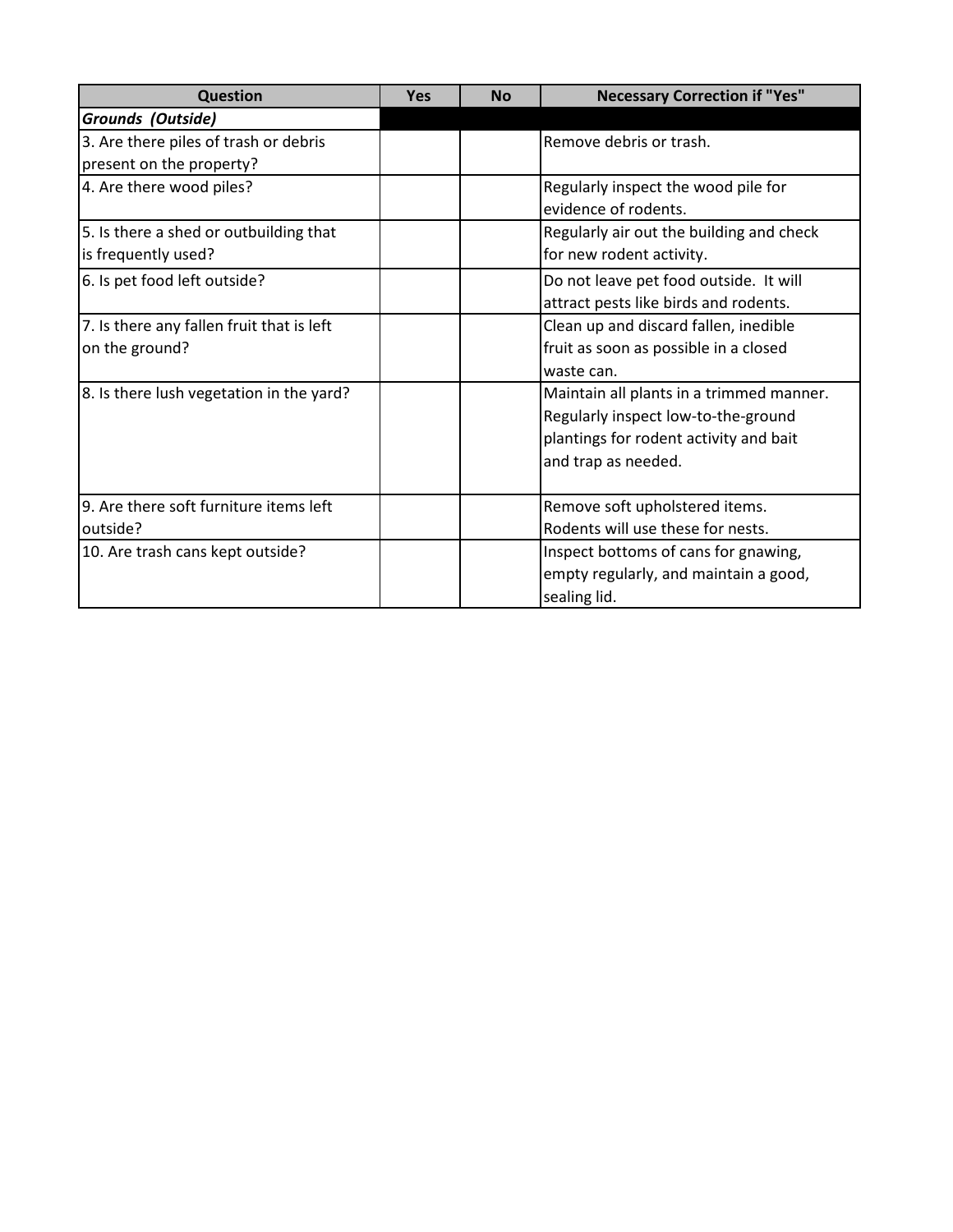| <b>Question</b>                           | <b>Yes</b> | <b>No</b> | <b>Necessary Correction if "Yes"</b>     |
|-------------------------------------------|------------|-----------|------------------------------------------|
| Grounds (Outside)                         |            |           |                                          |
| 3. Are there piles of trash or debris     |            |           | Remove debris or trash.                  |
| present on the property?                  |            |           |                                          |
| 4. Are there wood piles?                  |            |           | Regularly inspect the wood pile for      |
|                                           |            |           | evidence of rodents.                     |
| 5. Is there a shed or outbuilding that    |            |           | Regularly air out the building and check |
| is frequently used?                       |            |           | for new rodent activity.                 |
| 6. Is pet food left outside?              |            |           | Do not leave pet food outside. It will   |
|                                           |            |           | attract pests like birds and rodents.    |
| 7. Is there any fallen fruit that is left |            |           | Clean up and discard fallen, inedible    |
| on the ground?                            |            |           | fruit as soon as possible in a closed    |
|                                           |            |           | waste can.                               |
| 8. Is there lush vegetation in the yard?  |            |           | Maintain all plants in a trimmed manner. |
|                                           |            |           | Regularly inspect low-to-the-ground      |
|                                           |            |           | plantings for rodent activity and bait   |
|                                           |            |           | and trap as needed.                      |
|                                           |            |           |                                          |
| 9. Are there soft furniture items left    |            |           | Remove soft upholstered items.           |
| outside?                                  |            |           | Rodents will use these for nests.        |
| 10. Are trash cans kept outside?          |            |           | Inspect bottoms of cans for gnawing,     |
|                                           |            |           | empty regularly, and maintain a good,    |
|                                           |            |           | sealing lid.                             |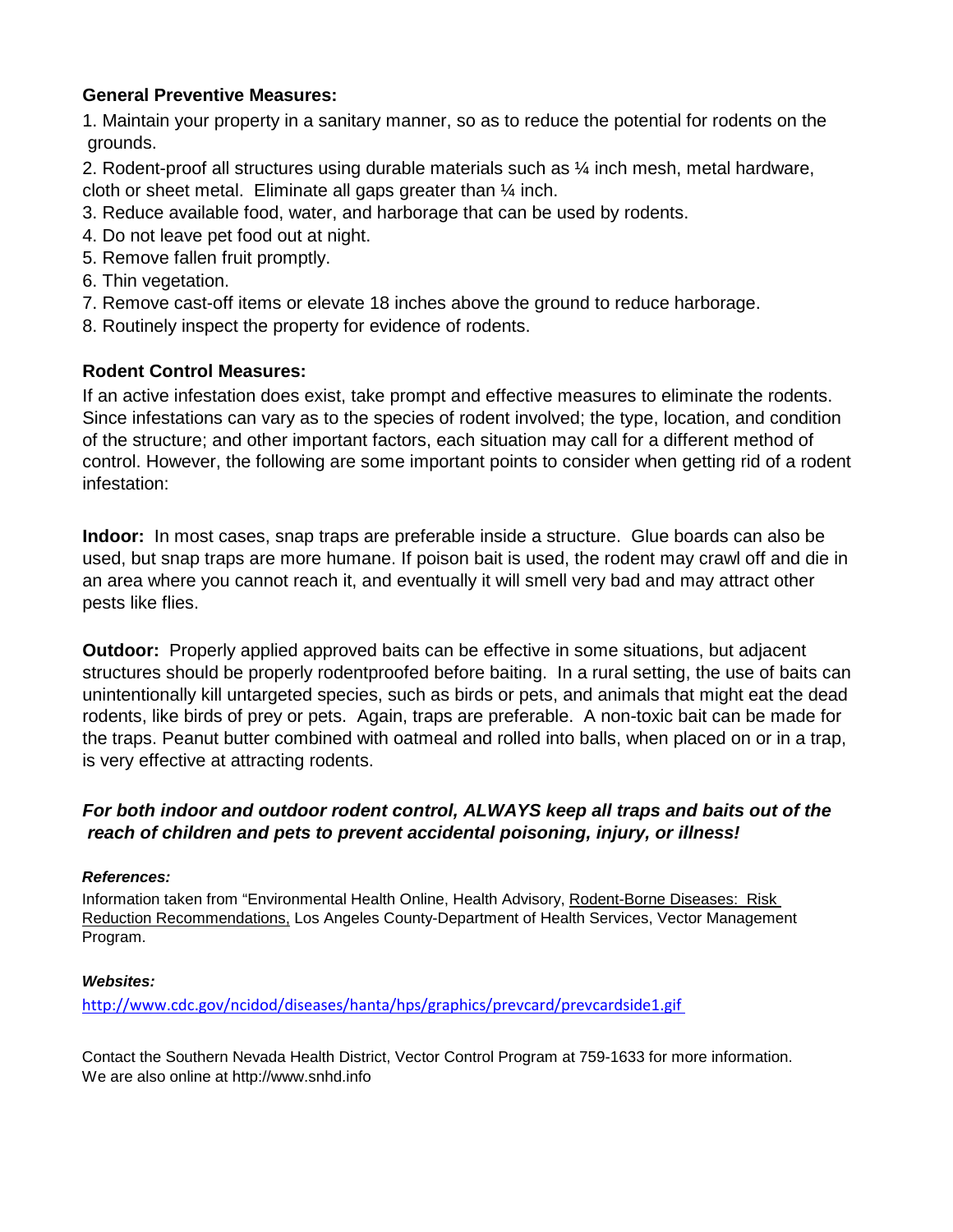### **General Preventive Measures:**

1. Maintain your property in a sanitary manner, so as to reduce the potential for rodents on the grounds.

2. Rodent-proof all structures using durable materials such as ¼ inch mesh, metal hardware, cloth or sheet metal. Eliminate all gaps greater than  $\frac{1}{4}$  inch.

- 3. Reduce available food, water, and harborage that can be used by rodents.
- 4. Do not leave pet food out at night.
- 5. Remove fallen fruit promptly.
- 6. Thin vegetation.
- 7. Remove cast-off items or elevate 18 inches above the ground to reduce harborage.
- 8. Routinely inspect the property for evidence of rodents.

### **Rodent Control Measures:**

If an active infestation does exist, take prompt and effective measures to eliminate the rodents. Since infestations can vary as to the species of rodent involved; the type, location, and condition of the structure; and other important factors, each situation may call for a different method of control. However, the following are some important points to consider when getting rid of a rodent infestation:

**Indoor:** In most cases, snap traps are preferable inside a structure. Glue boards can also be used, but snap traps are more humane. If poison bait is used, the rodent may crawl off and die in an area where you cannot reach it, and eventually it will smell very bad and may attract other pests like flies.

**Outdoor:** Properly applied approved baits can be effective in some situations, but adjacent structures should be properly rodentproofed before baiting. In a rural setting, the use of baits can unintentionally kill untargeted species, such as birds or pets, and animals that might eat the dead rodents, like birds of prey or pets. Again, traps are preferable. A non-toxic bait can be made for the traps. Peanut butter combined with oatmeal and rolled into balls, when placed on or in a trap, is very effective at attracting rodents.

### *For both indoor and outdoor rodent control, ALWAYS keep all traps and baits out of the reach of children and pets to prevent accidental poisoning, injury, or illness!*

#### *References:*

Information taken from "Environmental Health Online, Health Advisory, Rodent-Borne Diseases: Risk Reduction Recommendations, Los Angeles County-Department of Health Services, Vector Management Program.

#### *Websites:*

<http://www.cdc.gov/ncidod/diseases/hanta/hps/graphics/prevcard/prevcardside1.gif>

Contact the Southern Nevada Health District, Vector Control Program at 759-1633 for more information. We are also online at http://www.snhd.info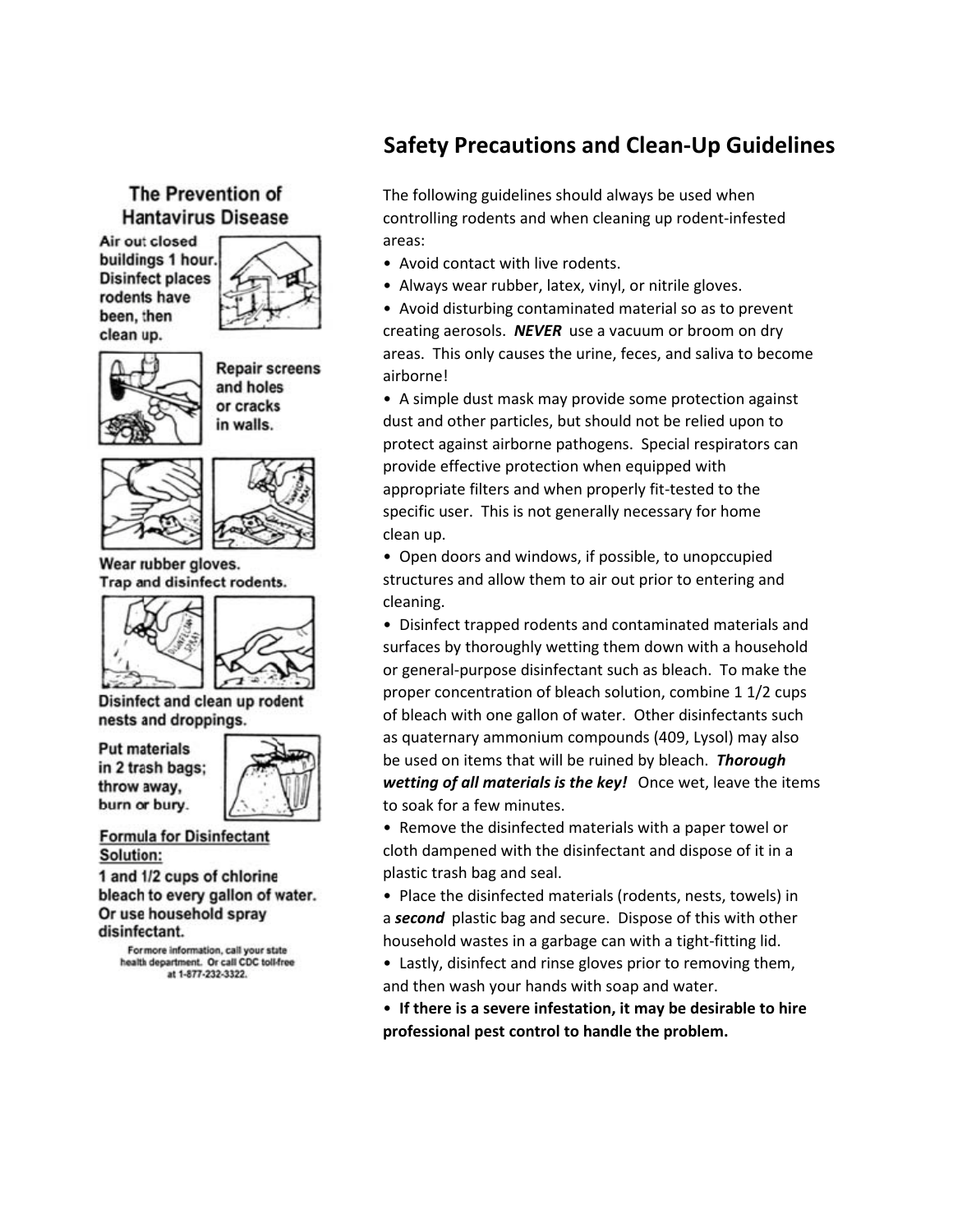## The Prevention of **Hantavirus Disease**

Air out closed buildings 1 hour. **Disinfect places** rodents have been, then clean up.



**Repair screens** and holes or cracks in walls.



Wear rubber gloves. Trap and disinfect rodents.





Disinfect and clean up rodent nests and droppings.

**Put materials** in 2 trash bags; throw away. burn or bury.



**Formula for Disinfectant** Solution:

1 and 1/2 cups of chlorine bleach to every gallon of water. Or use household spray disinfectant.

For more information, call your state health department. Or call CDC toll-free at 1-877-232-3322.

# **Safety Precautions and Clean-Up Guidelines**

The following guidelines should always be used when controlling rodents and when cleaning up rodent-infested areas:

- Avoid contact with live rodents.
- Always wear rubber, latex, vinyl, or nitrile gloves.

• Avoid disturbing contaminated material so as to prevent creating aerosols. *NEVER* use a vacuum or broom on dry areas. This only causes the urine, feces, and saliva to become airborne!

• A simple dust mask may provide some protection against dust and other particles, but should not be relied upon to protect against airborne pathogens. Special respirators can provide effective protection when equipped with appropriate filters and when properly fit-tested to the specific user. This is not generally necessary for home clean up.

• Open doors and windows, if possible, to unopccupied structures and allow them to air out prior to entering and cleaning.

• Disinfect trapped rodents and contaminated materials and surfaces by thoroughly wetting them down with a household or general-purpose disinfectant such as bleach. To make the proper concentration of bleach solution, combine 1 1/2 cups of bleach with one gallon of water. Other disinfectants such as quaternary ammonium compounds (409, Lysol) may also be used on items that will be ruined by bleach. *Thorough wetting of all materials is the key!* Once wet, leave the items to soak for a few minutes.

• Remove the disinfected materials with a paper towel or cloth dampened with the disinfectant and dispose of it in a plastic trash bag and seal.

• Place the disinfected materials (rodents, nests, towels) in a *second* plastic bag and secure. Dispose of this with other household wastes in a garbage can with a tight-fitting lid.

- Lastly, disinfect and rinse gloves prior to removing them, and then wash your hands with soap and water.
- • **If there is a severe infestation, it may be desirable to hire professional pest control to handle the problem.**